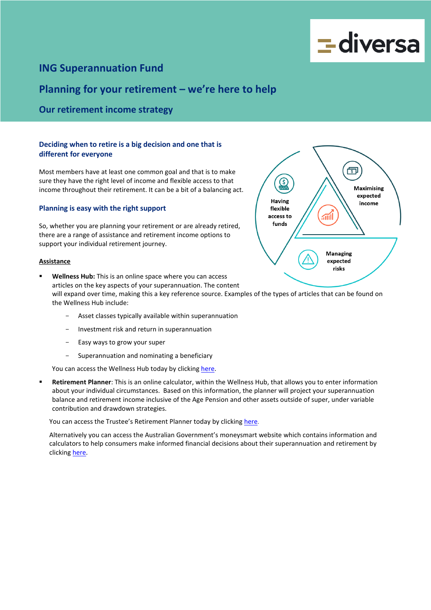

# **ING Superannuation Fund**

# **Planning for your retirement – we're here to help**

## **Our retirement income strategy**

### **Deciding when to retire is a big decision and one that is different for everyone**

Most members have at least one common goal and that is to make sure they have the right level of income and flexible access to that income throughout their retirement. It can be a bit of a balancing act.

#### **Planning is easy with the right support**

So, whether you are planning your retirement or are already retired, there are a range of assistance and retirement income options to support your individual retirement journey.

#### **Assistance**

- risks **Wellness Hub:** This is an online space where you can access articles on the key aspects of your superannuation. The content will expand over time, making this a key reference source. Examples of the types of articles that can be found on the Wellness Hub include:
	- Asset classes typically available within superannuation
	- Investment risk and return in superannuation
	- Easy ways to grow your super
	- Superannuation and nominating a beneficiary

You can access the Wellness Hub today by clickin[g here.](https://diversa.com.au/resources/)

 **Retirement Planner**: This is an online calculator, within the Wellness Hub, that allows you to enter information about your individual circumstances. Based on this information, the planner will project your superannuation balance and retirement income inclusive of the Age Pension and other assets outside of super, under variable contribution and drawdown strategies.

You can access the Trustee's Retirement Planner today by clicking here.

Alternatively you can access the Australian Government's moneysmart website which contains information and calculators to help consumers make informed financial decisions about their superannuation and retirement by clicking [here.](https://moneysmart.gov.au/)